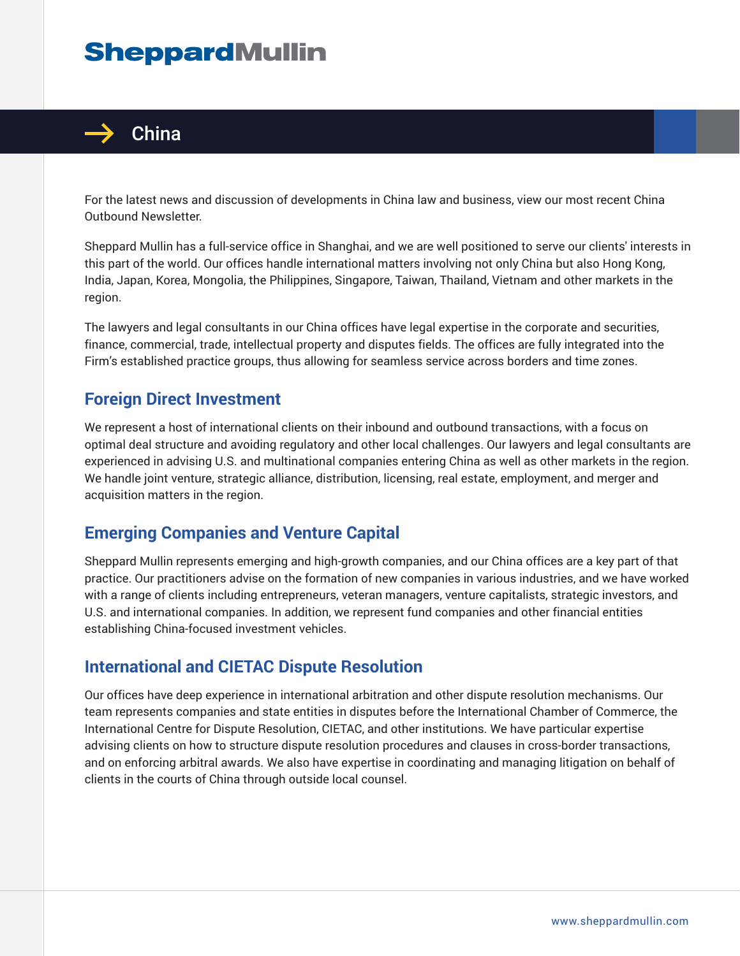# **SheppardMullin**



For the latest news and discussion of developments in China law and business, view our most recent China Outbound Newsletter.

Sheppard Mullin has a full-service office in Shanghai, and we are well positioned to serve our clients' interests in this part of the world. Our offices handle international matters involving not only China but also Hong Kong, India, Japan, Korea, Mongolia, the Philippines, Singapore, Taiwan, Thailand, Vietnam and other markets in the region.

The lawyers and legal consultants in our China offices have legal expertise in the corporate and securities, finance, commercial, trade, intellectual property and disputes fields. The offices are fully integrated into the Firm's established practice groups, thus allowing for seamless service across borders and time zones.

# **Foreign Direct Investment**

We represent a host of international clients on their inbound and outbound transactions, with a focus on optimal deal structure and avoiding regulatory and other local challenges. Our lawyers and legal consultants are experienced in advising U.S. and multinational companies entering China as well as other markets in the region. We handle joint venture, strategic alliance, distribution, licensing, real estate, employment, and merger and acquisition matters in the region.

#### **Emerging Companies and Venture Capital**

Sheppard Mullin represents emerging and high-growth companies, and our China offices are a key part of that practice. Our practitioners advise on the formation of new companies in various industries, and we have worked with a range of clients including entrepreneurs, veteran managers, venture capitalists, strategic investors, and U.S. and international companies. In addition, we represent fund companies and other financial entities establishing China-focused investment vehicles.

#### **International and CIETAC Dispute Resolution**

Our offices have deep experience in international arbitration and other dispute resolution mechanisms. Our team represents companies and state entities in disputes before the International Chamber of Commerce, the International Centre for Dispute Resolution, CIETAC, and other institutions. We have particular expertise advising clients on how to structure dispute resolution procedures and clauses in cross-border transactions, and on enforcing arbitral awards. We also have expertise in coordinating and managing litigation on behalf of clients in the courts of China through outside local counsel.